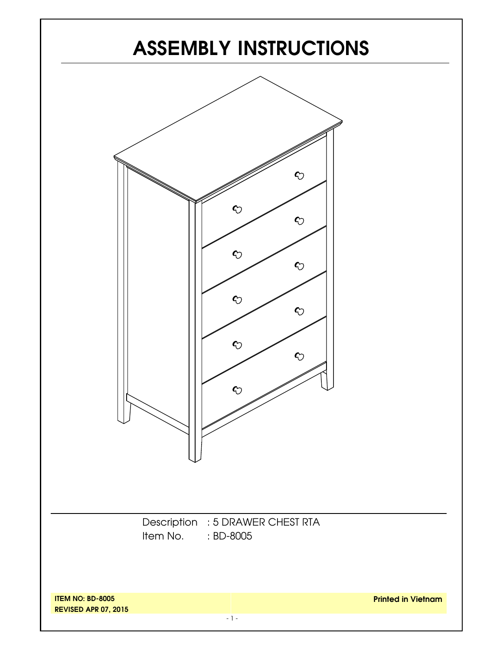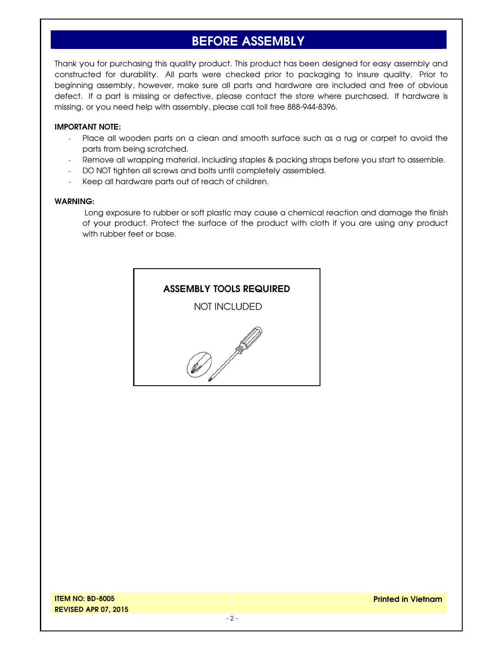# **BEFORE ASSEMBLY**

Thank you for purchasing this quality product. This product has been designed for easy assembly and constructed for durability. All parts were checked prior to packaging to insure quality. Prior to beginning assembly, however, make sure all parts and hardware are included and free of obvious defect. If a part is missing or defective, please contact the store where purchased. If hardware is missing, or you need help with assembly, please call toll free 888-944-8396.

#### **IMPORTANT NOTE:**

- Place all wooden parts on a clean and smooth surface such as a rug or carpet to avoid the parts from being scratched.
- Remove all wrapping material, including staples & packing straps before you start to assemble.
- DO NOT tighten all screws and bolts until completely assembled.
- Keep all hardware parts out of reach of children.

#### **WARNING:**

 Long exposure to rubber or soft plastic may cause a chemical reaction and damage the finish of your product. Protect the surface of the product with cloth if you are using any product with rubber feet or base.

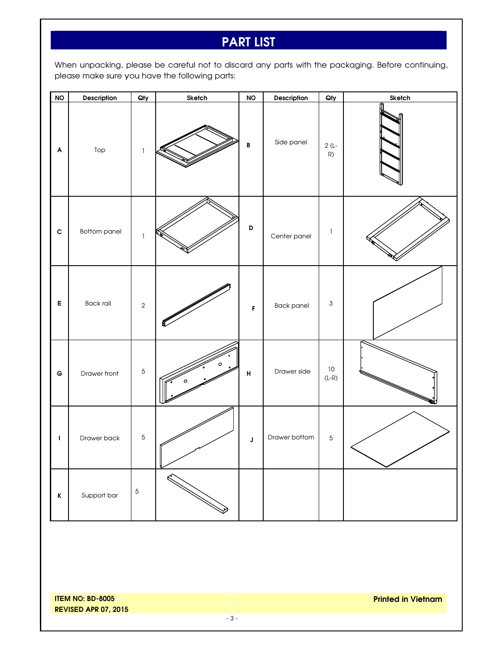# **PART LIST**

When unpacking, please be careful not to discard any parts with the packaging. Before continuing, please make sure you have the following parts:

| N                         | Description         | Qty           | Sketch | <b>NO</b>          | Description   | Qty                       | Sketch |
|---------------------------|---------------------|---------------|--------|--------------------|---------------|---------------------------|--------|
| $\boldsymbol{\mathsf{A}}$ | Top                 | $\mathbb{I}$  |        | B                  | Side panel    | $2(L -$<br>R)             |        |
| $\mathbf c$               | <b>Bottom panel</b> | $\mathbbm{1}$ |        | $\mathsf D$        | Center panel  | $\mathbbm{1}$             |        |
| $\mathsf E$               | <b>Back rail</b>    | $\sqrt{2}$    |        | F                  | Back panel    | $\ensuremath{\mathsf{3}}$ |        |
| $\mathsf G$               | Drawer front        | $\sqrt{5}$    | Ο      | $\pmb{\mathsf{H}}$ | Drawer side   | $10\,$<br>$(L-R)$         |        |
| $\mathbf I$               | Drawer back         | $\,$ 5 $\,$   |        | $\mathsf J$        | Drawer bottom | $\overline{5}$            |        |
| $\mathbf K$               | Support bar         | $\sqrt{5}$    |        |                    |               |                           |        |

**ITEM NO: BD-8005 REVISED APR 07, 2015**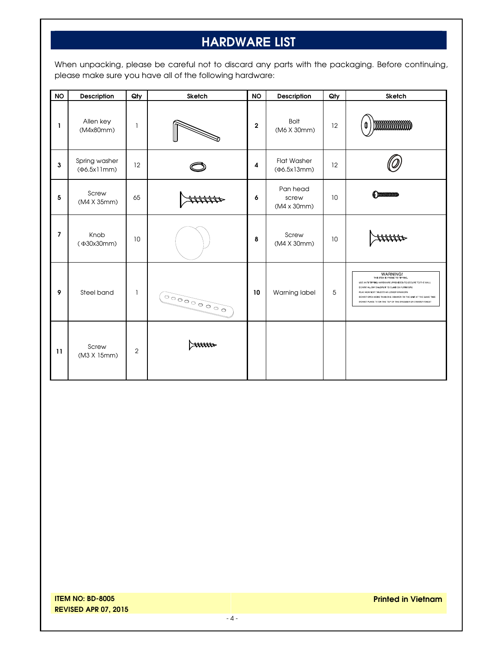# **HARDWARE LIST**

When unpacking, please be careful not to discard any parts with the packaging. Before continuing, please make sure you have all of the following hardware:

| <b>NO</b> | Description                  | Qty            | Sketch     | <b>NO</b>   | Description                       | Qty | Sketch                                                                                                                                                                                                                                                                                                                          |
|-----------|------------------------------|----------------|------------|-------------|-----------------------------------|-----|---------------------------------------------------------------------------------------------------------------------------------------------------------------------------------------------------------------------------------------------------------------------------------------------------------------------------------|
| 1         | Allen key<br>(M4x80mm)       | 1              |            | $\mathbf 2$ | <b>Bolt</b><br>(M6 X 30mm)        | 12  | mmmmm<br>0                                                                                                                                                                                                                                                                                                                      |
| 3         | Spring washer<br>(Φ6.5x11mm) | 12             |            | 4           | <b>Flat Washer</b><br>(Φ6.5x13mm) | 12  |                                                                                                                                                                                                                                                                                                                                 |
| 5         | Screw<br>(M4 X 35mm)         | 65             |            | 6           | Pan head<br>screw<br>(M4 x 30mm)  | 10  | $\bigoplus$ 00000000000                                                                                                                                                                                                                                                                                                         |
| 7         | Knob<br>(Ф30х30mm)           | 10             |            | 8           | Screw<br>(M4 X 30mm)              | 10  |                                                                                                                                                                                                                                                                                                                                 |
| 9         | Steel band                   | 1              | 0000000000 | 10          | Warning label                     | 5   | WARNING!<br>THIS ITEM IS PRONE TO TIPPING.<br>USE ANTI-TIPPING HARDWARE (PROVIDED) TO SECURE TO THE WALL<br>DO NOT ALLOW CHILDREN TO CLIMB ON FURNITURE<br>PLAC HEAVIEST OBJECTS IN LOWER DRAWERS<br>DO NOT OPEN MORE THAN ONE DRAWER ON THE UNIT AT THE SAME TIME<br>DO NOT PLACE TV ON THE TOP OF THE DRESSER OR DRAWER CHEST |
| 11        | Screw<br>(M3 X 15mm)         | $\overline{2}$ |            |             |                                   |     |                                                                                                                                                                                                                                                                                                                                 |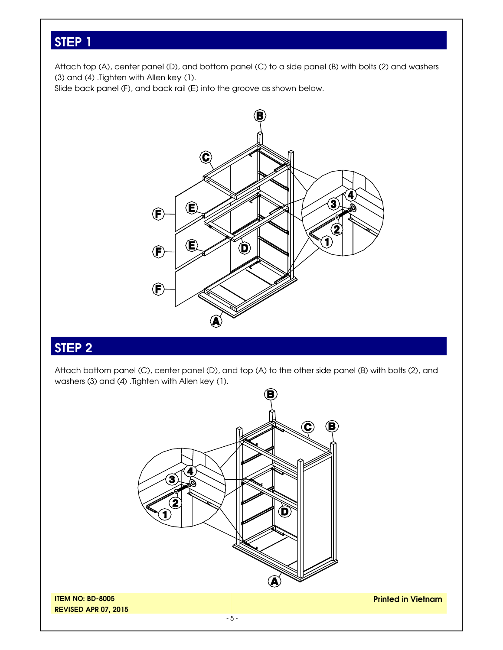Attach top (A), center panel (D), and bottom panel (C) to a side panel (B) with bolts (2) and washers (3) and (4) .Tighten with Allen key (1).

Slide back panel (F), and back rail (E) into the groove as shown below.



### **STEP 2**

Attach bottom panel (C), center panel (D), and top (A) to the other side panel (B) with bolts (2), and washers (3) and (4) .Tighten with Allen key (1).

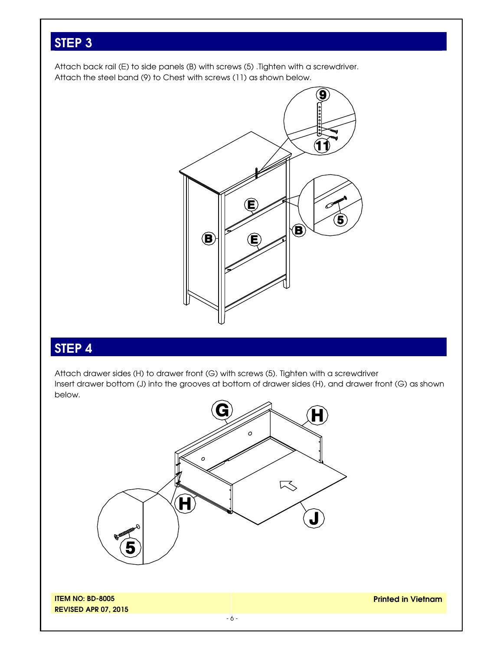Attach back rail (E) to side panels (B) with screws (5) .Tighten with a screwdriver. Attach the steel band (9) to Chest with screws (11) as shown below.



# **STEP 4**

Attach drawer sides (H) to drawer front (G) with screws (5). Tighten with a screwdriver Insert drawer bottom (J) into the grooves at bottom of drawer sides (H), and drawer front (G) as shown below.

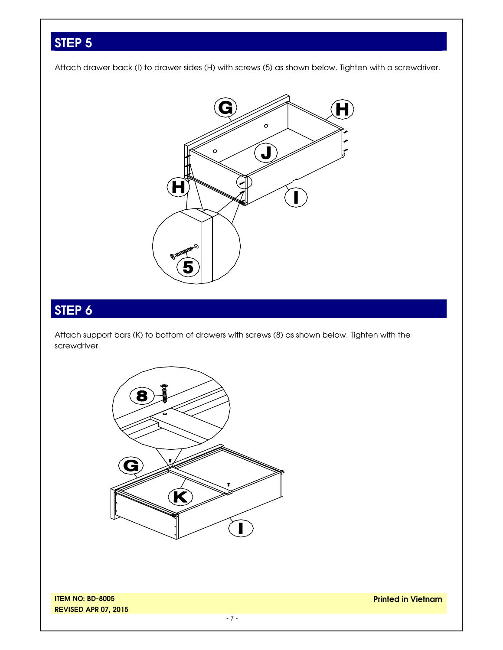Attach drawer back (I) to drawer sides (H) with screws (5) as shown below. Tighten with a screwdriver.



# **STEP 6**

Attach support bars (K) to bottom of drawers with screws (8) as shown below. Tighten with the screwdriver.



**ITEM NO: BD-8005 REVISED APR 07, 2015**